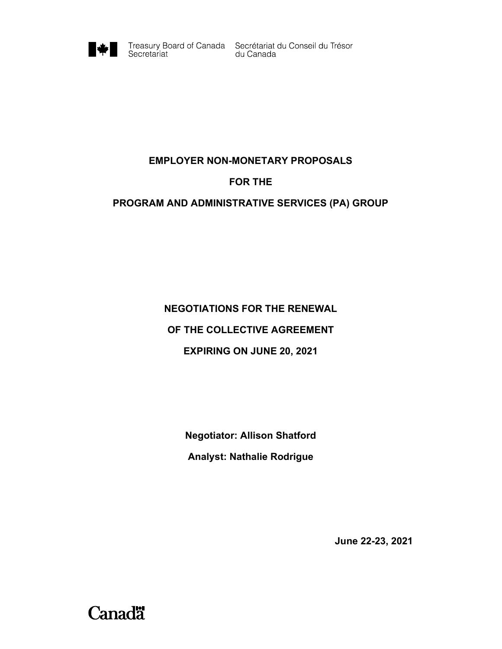

Treasury Board of Canada Secrétariat du Conseil du Trésor<br>du Canada

# EMPLOYER NON-MONETARY PROPOSALS

### FOR THE

# PROGRAM AND ADMINISTRATIVE SERVICES (PA) GROUP

# NEGOTIATIONS FOR THE RENEWAL OF THE COLLECTIVE AGREEMENT EXPIRING ON JUNE 20, 2021

Negotiator: Allison Shatford Analyst: Nathalie Rodrigue

June 22-23, 2021

**Canadä**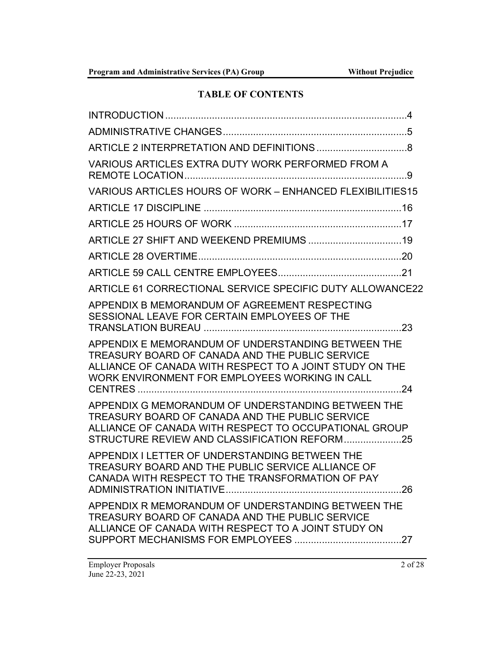# TABLE OF CONTENTS

| VARIOUS ARTICLES EXTRA DUTY WORK PERFORMED FROM A                                                                                                                                                                  |  |
|--------------------------------------------------------------------------------------------------------------------------------------------------------------------------------------------------------------------|--|
| VARIOUS ARTICLES HOURS OF WORK - ENHANCED FLEXIBILITIES15                                                                                                                                                          |  |
|                                                                                                                                                                                                                    |  |
|                                                                                                                                                                                                                    |  |
|                                                                                                                                                                                                                    |  |
|                                                                                                                                                                                                                    |  |
|                                                                                                                                                                                                                    |  |
| ARTICLE 61 CORRECTIONAL SERVICE SPECIFIC DUTY ALLOWANCE22                                                                                                                                                          |  |
| APPENDIX B MEMORANDUM OF AGREEMENT RESPECTING<br>SESSIONAL LEAVE FOR CERTAIN EMPLOYEES OF THE                                                                                                                      |  |
| APPENDIX E MEMORANDUM OF UNDERSTANDING BETWEEN THE<br>TREASURY BOARD OF CANADA AND THE PUBLIC SERVICE<br>ALLIANCE OF CANADA WITH RESPECT TO A JOINT STUDY ON THE<br>WORK ENVIRONMENT FOR EMPLOYEES WORKING IN CALL |  |
| APPENDIX G MEMORANDUM OF UNDERSTANDING BETWEEN THE<br>TREASURY BOARD OF CANADA AND THE PUBLIC SERVICE<br>ALLIANCE OF CANADA WITH RESPECT TO OCCUPATIONAL GROUP                                                     |  |
| APPENDIX I LETTER OF UNDERSTANDING BETWEEN THE<br>TREASURY BOARD AND THE PUBLIC SERVICE ALLIANCE OF<br>CANADA WITH RESPECT TO THE TRANSFORMATION OF PAY                                                            |  |
| APPENDIX R MEMORANDUM OF UNDERSTANDING BETWEEN THE<br>TREASURY BOARD OF CANADA AND THE PUBLIC SERVICE<br>ALLIANCE OF CANADA WITH RESPECT TO A JOINT STUDY ON                                                       |  |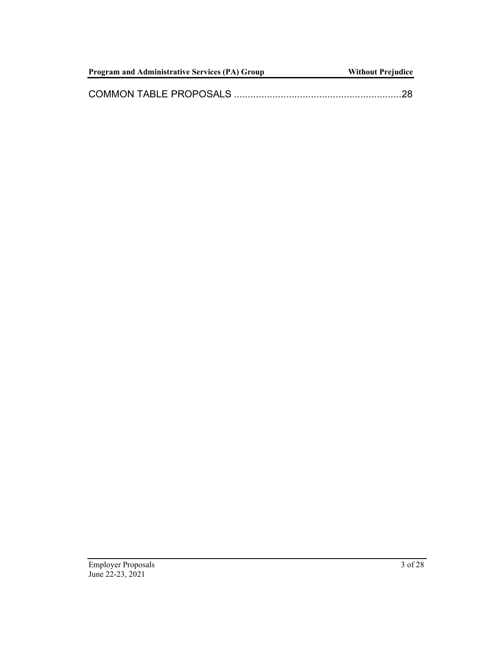| <b>Program and Administrative Services (PA) Group</b> | <b>Without Prejudice</b> |
|-------------------------------------------------------|--------------------------|
|                                                       |                          |
|                                                       |                          |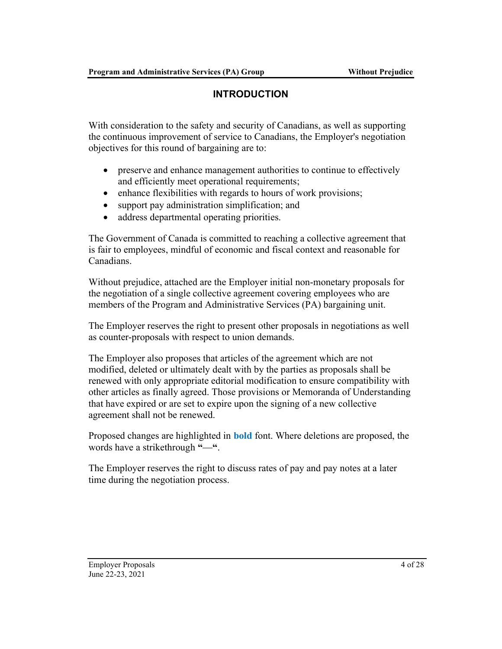# INTRODUCTION

With consideration to the safety and security of Canadians, as well as supporting the continuous improvement of service to Canadians, the Employer's negotiation objectives for this round of bargaining are to:

- preserve and enhance management authorities to continue to effectively and efficiently meet operational requirements;
- enhance flexibilities with regards to hours of work provisions;
- support pay administration simplification; and
- address departmental operating priorities.

The Government of Canada is committed to reaching a collective agreement that is fair to employees, mindful of economic and fiscal context and reasonable for Canadians.

Without prejudice, attached are the Employer initial non-monetary proposals for the negotiation of a single collective agreement covering employees who are members of the Program and Administrative Services (PA) bargaining unit.

The Employer reserves the right to present other proposals in negotiations as well as counter-proposals with respect to union demands.

The Employer also proposes that articles of the agreement which are not modified, deleted or ultimately dealt with by the parties as proposals shall be renewed with only appropriate editorial modification to ensure compatibility with other articles as finally agreed. Those provisions or Memoranda of Understanding that have expired or are set to expire upon the signing of a new collective agreement shall not be renewed.

Proposed changes are highlighted in **bold** font. Where deletions are proposed, the words have a strikethrough "-".

The Employer reserves the right to discuss rates of pay and pay notes at a later time during the negotiation process.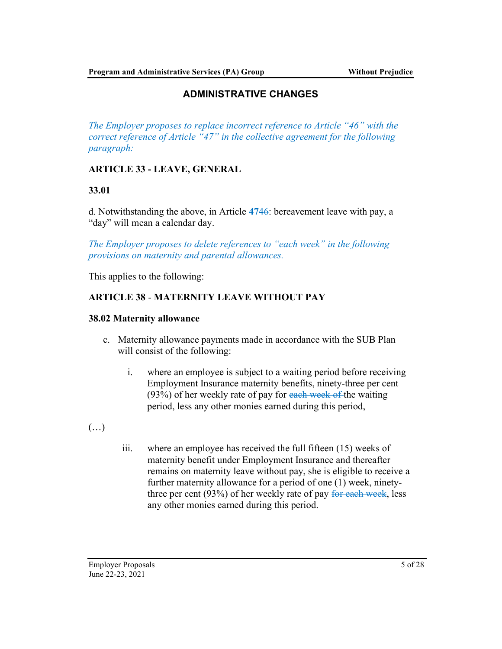# ADMINISTRATIVE CHANGES

The Employer proposes to replace incorrect reference to Article "46" with the correct reference of Article "47" in the collective agreement for the following paragraph:

# ARTICLE 33 - LEAVE, GENERAL

# 33.01

d. Notwithstanding the above, in Article 4746: bereavement leave with pay, a "day" will mean a calendar day.

The Employer proposes to delete references to "each week" in the following provisions on maternity and parental allowances.

This applies to the following:

# ARTICLE 38 - MATERNITY LEAVE WITHOUT PAY

#### 38.02 Maternity allowance

- c. Maternity allowance payments made in accordance with the SUB Plan will consist of the following:
	- i. where an employee is subject to a waiting period before receiving Employment Insurance maternity benefits, ninety-three per cent  $(93%)$  of her weekly rate of pay for each week of the waiting period, less any other monies earned during this period,
- $(\ldots)$
- iii. where an employee has received the full fifteen (15) weeks of maternity benefit under Employment Insurance and thereafter remains on maternity leave without pay, she is eligible to receive a further maternity allowance for a period of one (1) week, ninetythree per cent (93%) of her weekly rate of pay for each week, less any other monies earned during this period.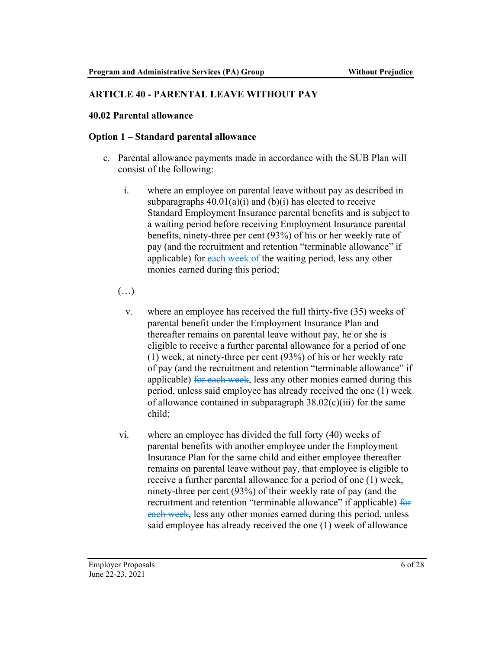### ARTICLE 40 - PARENTAL LEAVE WITHOUT PAY

#### 40.02 Parental allowance

#### Option 1 – Standard parental allowance

- c. Parental allowance payments made in accordance with the SUB Plan will consist of the following:
	- i. where an employee on parental leave without pay as described in subparagraphs  $40.01(a)(i)$  and  $(b)(i)$  has elected to receive Standard Employment Insurance parental benefits and is subject to a waiting period before receiving Employment Insurance parental benefits, ninety-three per cent (93%) of his or her weekly rate of pay (and the recruitment and retention "terminable allowance" if applicable) for each week of the waiting period, less any other monies earned during this period;
	- (…)
		- v. where an employee has received the full thirty-five (35) weeks of parental benefit under the Employment Insurance Plan and thereafter remains on parental leave without pay, he or she is eligible to receive a further parental allowance for a period of one (1) week, at ninety-three per cent (93%) of his or her weekly rate of pay (and the recruitment and retention "terminable allowance" if applicable) for each week, less any other monies earned during this period, unless said employee has already received the one (1) week of allowance contained in subparagraph  $38.02(c)(iii)$  for the same child;
	- vi. where an employee has divided the full forty (40) weeks of parental benefits with another employee under the Employment Insurance Plan for the same child and either employee thereafter remains on parental leave without pay, that employee is eligible to receive a further parental allowance for a period of one (1) week, ninety-three per cent (93%) of their weekly rate of pay (and the recruitment and retention "terminable allowance" if applicable) for each week, less any other monies earned during this period, unless said employee has already received the one (1) week of allowance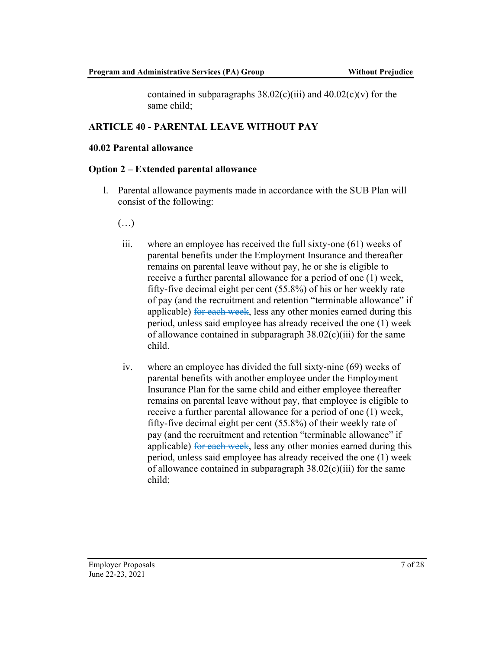contained in subparagraphs  $38.02(c)(iii)$  and  $40.02(c)(v)$  for the same child;

#### ARTICLE 40 - PARENTAL LEAVE WITHOUT PAY

#### 40.02 Parental allowance

#### Option 2 – Extended parental allowance

- l. Parental allowance payments made in accordance with the SUB Plan will consist of the following:
	- $(\ldots)$
	- iii. where an employee has received the full sixty-one (61) weeks of parental benefits under the Employment Insurance and thereafter remains on parental leave without pay, he or she is eligible to receive a further parental allowance for a period of one (1) week, fifty-five decimal eight per cent (55.8%) of his or her weekly rate of pay (and the recruitment and retention "terminable allowance" if applicable) for each week, less any other monies earned during this period, unless said employee has already received the one (1) week of allowance contained in subparagraph  $38.02(c)(iii)$  for the same child.
	- iv. where an employee has divided the full sixty-nine (69) weeks of parental benefits with another employee under the Employment Insurance Plan for the same child and either employee thereafter remains on parental leave without pay, that employee is eligible to receive a further parental allowance for a period of one (1) week, fifty-five decimal eight per cent (55.8%) of their weekly rate of pay (and the recruitment and retention "terminable allowance" if applicable) for each week, less any other monies earned during this period, unless said employee has already received the one (1) week of allowance contained in subparagraph  $38.02(c)(iii)$  for the same child;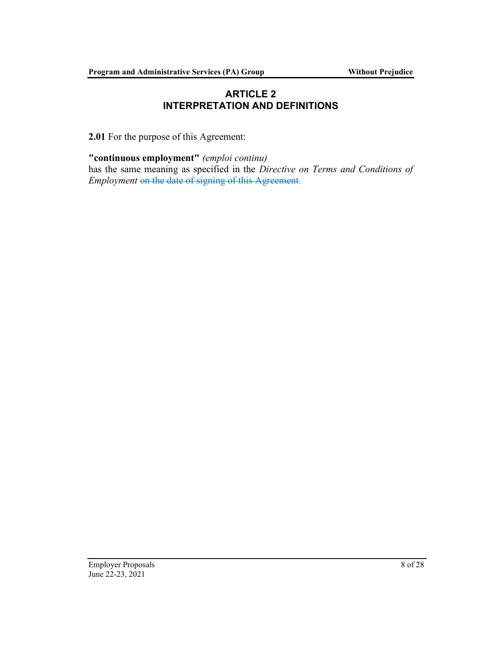# ARTICLE 2 INTERPRETATION AND DEFINITIONS

2.01 For the purpose of this Agreement:

"continuous employment" (emploi continu) has the same meaning as specified in the Directive on Terms and Conditions of Employment on the date of signing of this Agreement.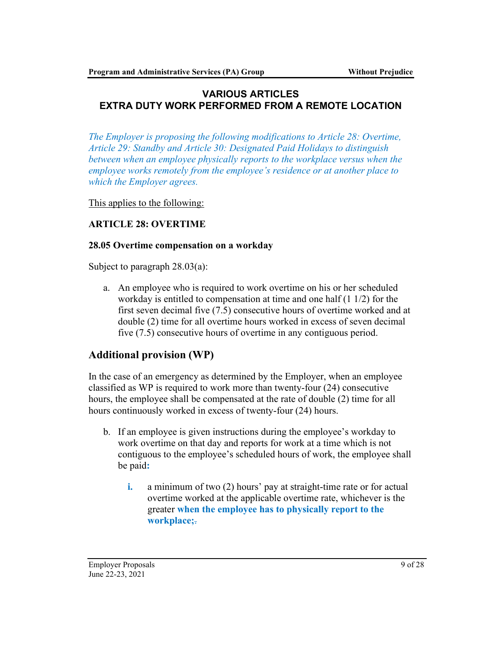# VARIOUS ARTICLES EXTRA DUTY WORK PERFORMED FROM A REMOTE LOCATION

The Employer is proposing the following modifications to Article 28: Overtime, Article 29: Standby and Article 30: Designated Paid Holidays to distinguish between when an employee physically reports to the workplace versus when the employee works remotely from the employee's residence or at another place to which the Employer agrees.

This applies to the following:

# ARTICLE 28: OVERTIME

#### 28.05 Overtime compensation on a workday

Subject to paragraph 28.03(a):

a. An employee who is required to work overtime on his or her scheduled workday is entitled to compensation at time and one half (1 1/2) for the first seven decimal five (7.5) consecutive hours of overtime worked and at double (2) time for all overtime hours worked in excess of seven decimal five (7.5) consecutive hours of overtime in any contiguous period.

# Additional provision (WP)

In the case of an emergency as determined by the Employer, when an employee classified as WP is required to work more than twenty-four (24) consecutive hours, the employee shall be compensated at the rate of double (2) time for all hours continuously worked in excess of twenty-four (24) hours.

- b. If an employee is given instructions during the employee's workday to work overtime on that day and reports for work at a time which is not contiguous to the employee's scheduled hours of work, the employee shall be paid:
	- i. a minimum of two (2) hours' pay at straight-time rate or for actual overtime worked at the applicable overtime rate, whichever is the greater when the employee has to physically report to the workplace;.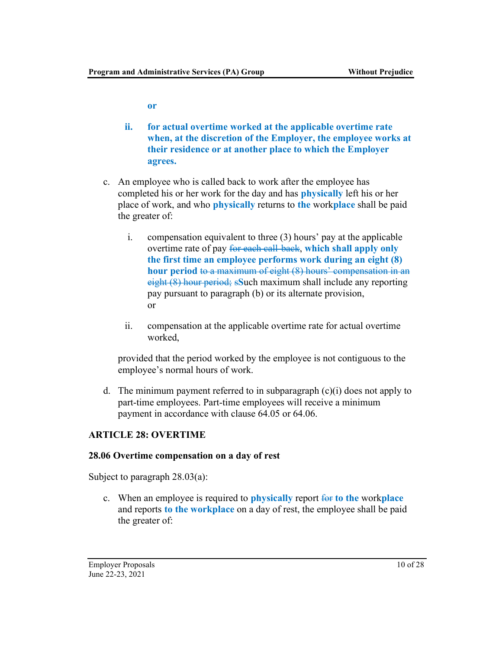or

- ii. for actual overtime worked at the applicable overtime rate when, at the discretion of the Employer, the employee works at their residence or at another place to which the Employer agrees.
- c. An employee who is called back to work after the employee has completed his or her work for the day and has physically left his or her place of work, and who **physically** returns to the workplace shall be paid the greater of:
	- i. compensation equivalent to three (3) hours' pay at the applicable overtime rate of pay for each call-back, which shall apply only the first time an employee performs work during an eight (8) hour period to a maximum of eight (8) hours' compensation in an eight (8) hour period; sSuch maximum shall include any reporting pay pursuant to paragraph (b) or its alternate provision, or
	- ii. compensation at the applicable overtime rate for actual overtime worked,

provided that the period worked by the employee is not contiguous to the employee's normal hours of work.

d. The minimum payment referred to in subparagraph  $(c)(i)$  does not apply to part-time employees. Part-time employees will receive a minimum payment in accordance with clause 64.05 or 64.06.

# ARTICLE 28: OVERTIME

#### 28.06 Overtime compensation on a day of rest

Subject to paragraph 28.03(a):

c. When an employee is required to **physically** report  $\overline{\mathbf{f}}$  to the workplace and reports to the workplace on a day of rest, the employee shall be paid the greater of: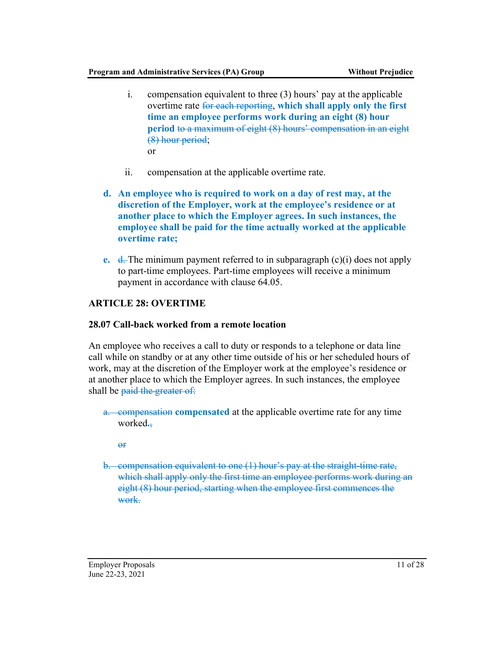- i. compensation equivalent to three (3) hours' pay at the applicable overtime rate for each reporting, which shall apply only the first time an employee performs work during an eight (8) hour period to a maximum of eight (8) hours' compensation in an eight (8) hour period; or
- ii. compensation at the applicable overtime rate.
- d. An employee who is required to work on a day of rest may, at the discretion of the Employer, work at the employee's residence or at another place to which the Employer agrees. In such instances, the employee shall be paid for the time actually worked at the applicable overtime rate;
- e.  $\frac{d}{dx}$ . The minimum payment referred to in subparagraph (c)(i) does not apply to part-time employees. Part-time employees will receive a minimum payment in accordance with clause 64.05.

# ARTICLE 28: OVERTIME

# 28.07 Call-back worked from a remote location

An employee who receives a call to duty or responds to a telephone or data line call while on standby or at any other time outside of his or her scheduled hours of work, may at the discretion of the Employer work at the employee's residence or at another place to which the Employer agrees. In such instances, the employee shall be paid the greater of:

a. compensation compensated at the applicable overtime rate for any time worked.

or

b. compensation equivalent to one (1) hour's pay at the straight-time rate, which shall apply only the first time an employee performs work during an eight (8) hour period, starting when the employee first commences the work.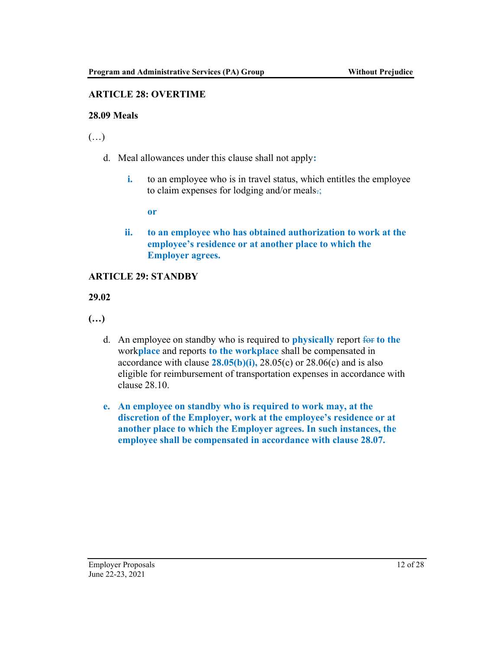### ARTICLE 28: OVERTIME

#### 28.09 Meals

 $(\ldots)$ 

- d. Meal allowances under this clause shall not apply:
	- i. to an employee who is in travel status, which entitles the employee to claim expenses for lodging and/or meals.;

or

ii. to an employee who has obtained authorization to work at the employee's residence or at another place to which the Employer agrees.

#### ARTICLE 29: STANDBY

29.02

(…)

- d. An employee on standby who is required to **physically** report  $\frac{1}{2}$  for the workplace and reports to the workplace shall be compensated in accordance with clause  $28.05(b)(i)$ ,  $28.05(c)$  or  $28.06(c)$  and is also eligible for reimbursement of transportation expenses in accordance with clause 28.10.
- e. An employee on standby who is required to work may, at the discretion of the Employer, work at the employee's residence or at another place to which the Employer agrees. In such instances, the employee shall be compensated in accordance with clause 28.07.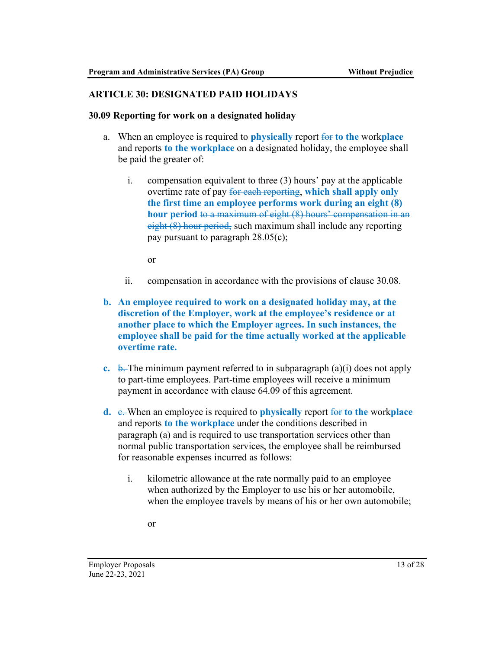#### ARTICLE 30: DESIGNATED PAID HOLIDAYS

#### 30.09 Reporting for work on a designated holiday

- a. When an employee is required to **physically** report for to the workplace and reports to the workplace on a designated holiday, the employee shall be paid the greater of:
	- i. compensation equivalent to three (3) hours' pay at the applicable overtime rate of pay for each reporting, which shall apply only the first time an employee performs work during an eight (8) hour period to a maximum of eight (8) hours' compensation in an eight (8) hour period, such maximum shall include any reporting pay pursuant to paragraph 28.05(c);

or

- ii. compensation in accordance with the provisions of clause 30.08.
- b. An employee required to work on a designated holiday may, at the discretion of the Employer, work at the employee's residence or at another place to which the Employer agrees. In such instances, the employee shall be paid for the time actually worked at the applicable overtime rate.
- c. b. The minimum payment referred to in subparagraph  $(a)(i)$  does not apply to part-time employees. Part-time employees will receive a minimum payment in accordance with clause 64.09 of this agreement.
- d.  $\epsilon$ . When an employee is required to **physically** report for to the workplace and reports to the workplace under the conditions described in paragraph (a) and is required to use transportation services other than normal public transportation services, the employee shall be reimbursed for reasonable expenses incurred as follows:
	- i. kilometric allowance at the rate normally paid to an employee when authorized by the Employer to use his or her automobile, when the employee travels by means of his or her own automobile;
		- or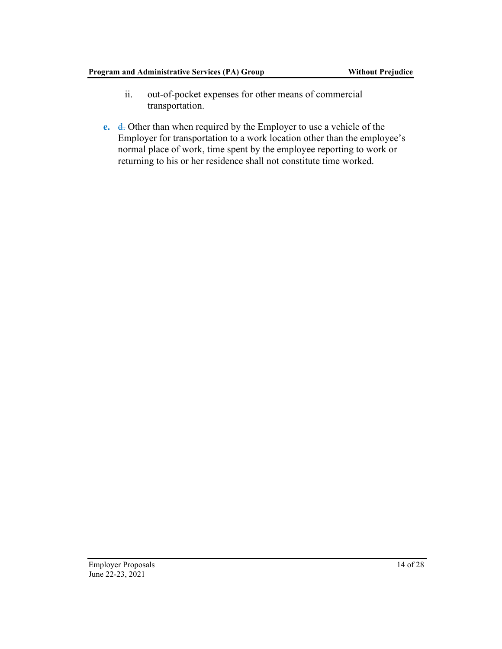- ii. out-of-pocket expenses for other means of commercial transportation.
- e. d. Other than when required by the Employer to use a vehicle of the Employer for transportation to a work location other than the employee's normal place of work, time spent by the employee reporting to work or returning to his or her residence shall not constitute time worked.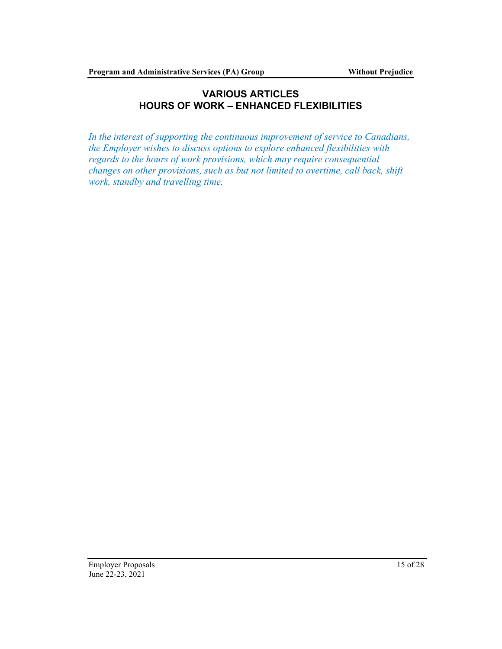# VARIOUS ARTICLES HOURS OF WORK – ENHANCED FLEXIBILITIES

In the interest of supporting the continuous improvement of service to Canadians, the Employer wishes to discuss options to explore enhanced flexibilities with regards to the hours of work provisions, which may require consequential changes on other provisions, such as but not limited to overtime, call back, shift work, standby and travelling time.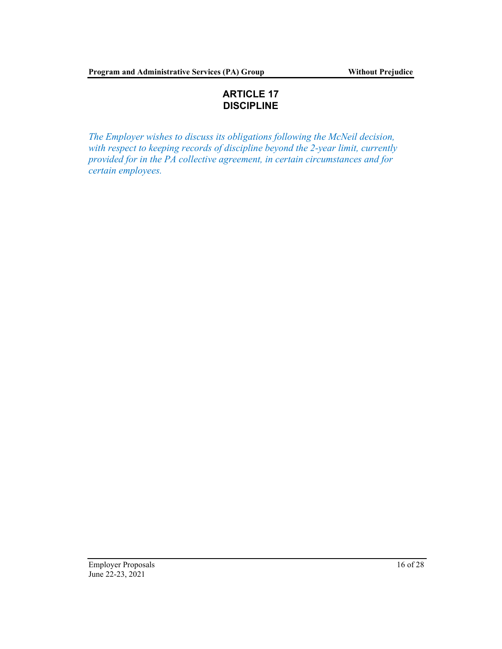# ARTICLE 17 DISCIPLINE

The Employer wishes to discuss its obligations following the McNeil decision, with respect to keeping records of discipline beyond the 2-year limit, currently provided for in the PA collective agreement, in certain circumstances and for certain employees.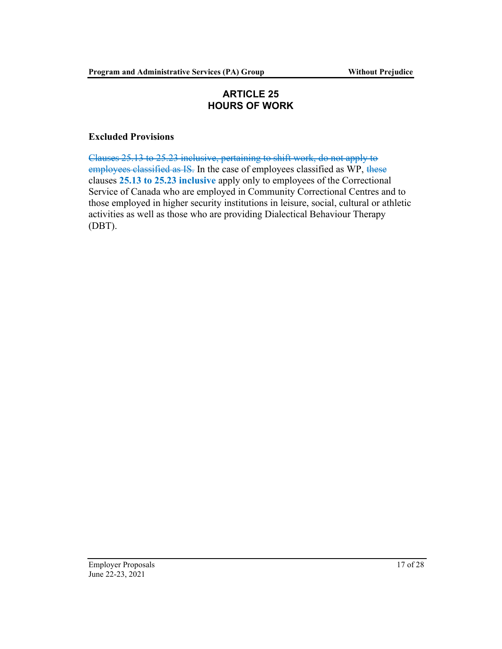# ARTICLE 25 HOURS OF WORK

#### Excluded Provisions

Clauses 25.13 to 25.23 inclusive, pertaining to shift work, do not apply to employees classified as IS. In the case of employees classified as WP, these clauses 25.13 to 25.23 inclusive apply only to employees of the Correctional Service of Canada who are employed in Community Correctional Centres and to those employed in higher security institutions in leisure, social, cultural or athletic activities as well as those who are providing Dialectical Behaviour Therapy (DBT).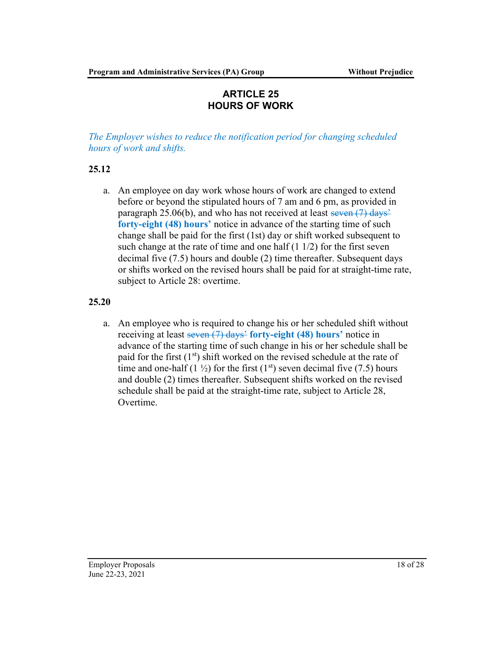# ARTICLE 25 HOURS OF WORK

The Employer wishes to reduce the notification period for changing scheduled hours of work and shifts.

# 25.12

a. An employee on day work whose hours of work are changed to extend before or beyond the stipulated hours of 7 am and 6 pm, as provided in paragraph 25.06(b), and who has not received at least seven  $(7)$  days<sup>2</sup> forty-eight (48) hours' notice in advance of the starting time of such change shall be paid for the first (1st) day or shift worked subsequent to such change at the rate of time and one half  $(1 1/2)$  for the first seven decimal five (7.5) hours and double (2) time thereafter. Subsequent days or shifts worked on the revised hours shall be paid for at straight-time rate, subject to Article 28: overtime.

### 25.20

a. An employee who is required to change his or her scheduled shift without receiving at least seven (7) days<sup>2</sup> forty-eight (48) hours' notice in advance of the starting time of such change in his or her schedule shall be paid for the first  $(1<sup>st</sup>)$  shift worked on the revised schedule at the rate of time and one-half (1  $\frac{1}{2}$ ) for the first (1<sup>st</sup>) seven decimal five (7.5) hours and double (2) times thereafter. Subsequent shifts worked on the revised schedule shall be paid at the straight-time rate, subject to Article 28, Overtime.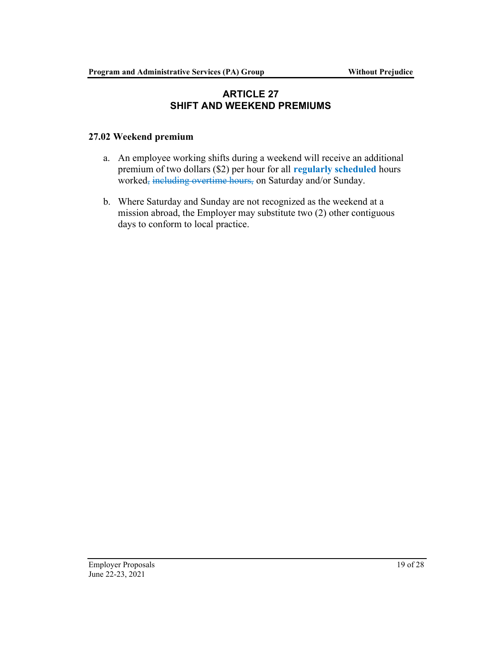# ARTICLE 27 SHIFT AND WEEKEND PREMIUMS

### 27.02 Weekend premium

- a. An employee working shifts during a weekend will receive an additional premium of two dollars (\$2) per hour for all regularly scheduled hours worked, including overtime hours, on Saturday and/or Sunday.
- b. Where Saturday and Sunday are not recognized as the weekend at a mission abroad, the Employer may substitute two (2) other contiguous days to conform to local practice.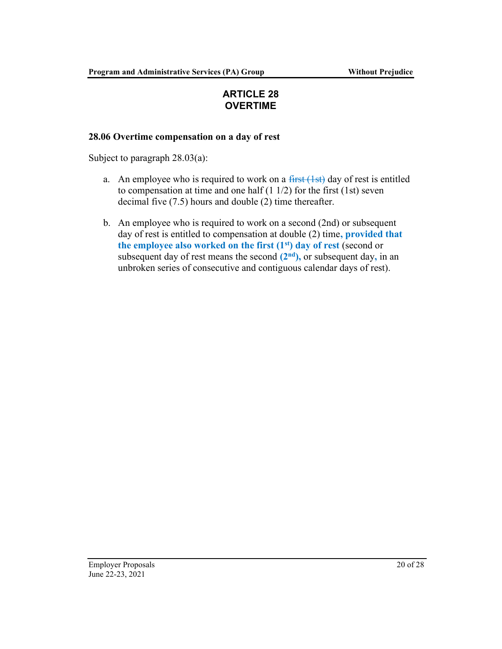# ARTICLE 28 OVERTIME

### 28.06 Overtime compensation on a day of rest

Subject to paragraph 28.03(a):

- a. An employee who is required to work on a  $\frac{first(1st)}{s}$  day of rest is entitled to compensation at time and one half  $(1 1/2)$  for the first  $(1st)$  seven decimal five (7.5) hours and double (2) time thereafter.
- b. An employee who is required to work on a second (2nd) or subsequent day of rest is entitled to compensation at double (2) time, **provided that** the employee also worked on the first  $(1<sup>st</sup>)$  day of rest (second or subsequent day of rest means the second  $(2<sup>nd</sup>)$ , or subsequent day, in an unbroken series of consecutive and contiguous calendar days of rest).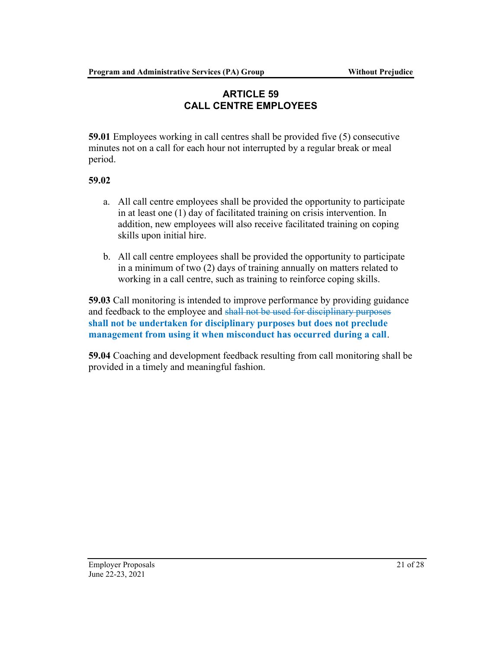# ARTICLE 59 CALL CENTRE EMPLOYEES

59.01 Employees working in call centres shall be provided five (5) consecutive minutes not on a call for each hour not interrupted by a regular break or meal period.

# 59.02

- a. All call centre employees shall be provided the opportunity to participate in at least one (1) day of facilitated training on crisis intervention. In addition, new employees will also receive facilitated training on coping skills upon initial hire.
- b. All call centre employees shall be provided the opportunity to participate in a minimum of two (2) days of training annually on matters related to working in a call centre, such as training to reinforce coping skills.

59.03 Call monitoring is intended to improve performance by providing guidance and feedback to the employee and shall not be used for disciplinary purposes shall not be undertaken for disciplinary purposes but does not preclude management from using it when misconduct has occurred during a call.

59.04 Coaching and development feedback resulting from call monitoring shall be provided in a timely and meaningful fashion.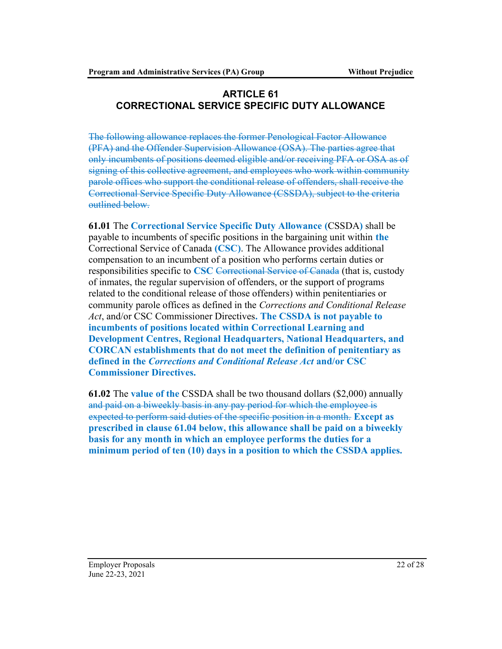# ARTICLE 61 CORRECTIONAL SERVICE SPECIFIC DUTY ALLOWANCE

The following allowance replaces the former Penological Factor Allowance (PFA) and the Offender Supervision Allowance (OSA). The parties agree that only incumbents of positions deemed eligible and/or receiving PFA or OSA as of signing of this collective agreement, and employees who work within community parole offices who support the conditional release of offenders, shall receive the Correctional Service Specific Duty Allowance (CSSDA), subject to the criteria outlined below.

61.01 The Correctional Service Specific Duty Allowance (CSSDA) shall be payable to incumbents of specific positions in the bargaining unit within the Correctional Service of Canada (CSC). The Allowance provides additional compensation to an incumbent of a position who performs certain duties or responsibilities specific to CSC Correctional Service of Canada (that is, custody of inmates, the regular supervision of offenders, or the support of programs related to the conditional release of those offenders) within penitentiaries or community parole offices as defined in the Corrections and Conditional Release Act, and/or CSC Commissioner Directives. The CSSDA is not payable to incumbents of positions located within Correctional Learning and Development Centres, Regional Headquarters, National Headquarters, and CORCAN establishments that do not meet the definition of penitentiary as defined in the Corrections and Conditional Release Act and/or CSC Commissioner Directives.

61.02 The value of the CSSDA shall be two thousand dollars (\$2,000) annually and paid on a biweekly basis in any pay period for which the employee is expected to perform said duties of the specific position in a month. Except as prescribed in clause 61.04 below, this allowance shall be paid on a biweekly basis for any month in which an employee performs the duties for a minimum period of ten (10) days in a position to which the CSSDA applies.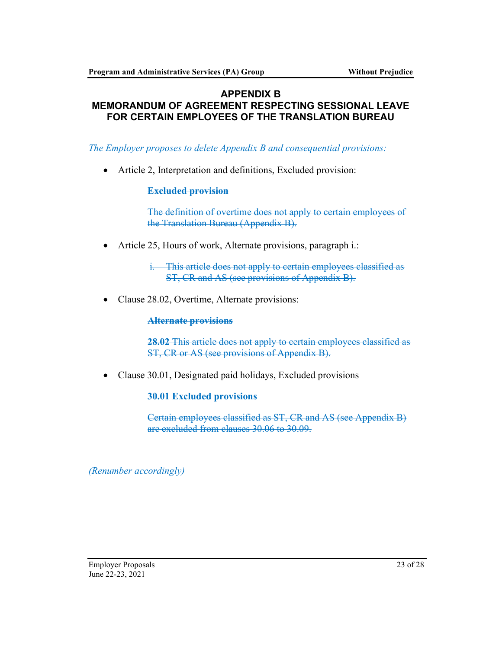#### APPENDIX B MEMORANDUM OF AGREEMENT RESPECTING SESSIONAL LEAVE FOR CERTAIN EMPLOYEES OF THE TRANSLATION BUREAU

### The Employer proposes to delete Appendix B and consequential provisions:

Article 2, Interpretation and definitions, Excluded provision:

#### Excluded provision

The definition of overtime does not apply to certain employees of the Translation Bureau (Appendix B).

Article 25, Hours of work, Alternate provisions, paragraph i.:

i. This article does not apply to certain employees classified as ST, CR and AS (see provisions of Appendix B).

• Clause 28.02, Overtime, Alternate provisions:

#### Alternate provisions

28.02 This article does not apply to certain employees classified as ST, CR or AS (see provisions of Appendix B).

Clause 30.01, Designated paid holidays, Excluded provisions

#### 30.01 Excluded provisions

Certain employees classified as ST, CR and AS (see Appendix B) are excluded from clauses 30.06 to 30.09.

(Renumber accordingly)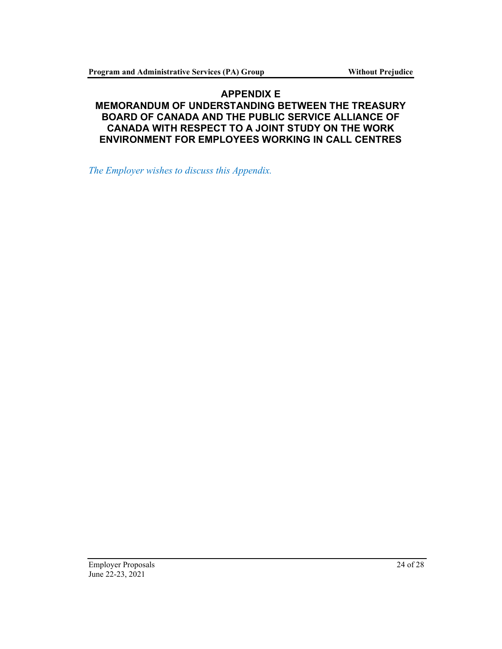# APPENDIX E MEMORANDUM OF UNDERSTANDING BETWEEN THE TREASURY BOARD OF CANADA AND THE PUBLIC SERVICE ALLIANCE OF CANADA WITH RESPECT TO A JOINT STUDY ON THE WORK ENVIRONMENT FOR EMPLOYEES WORKING IN CALL CENTRES

The Employer wishes to discuss this Appendix.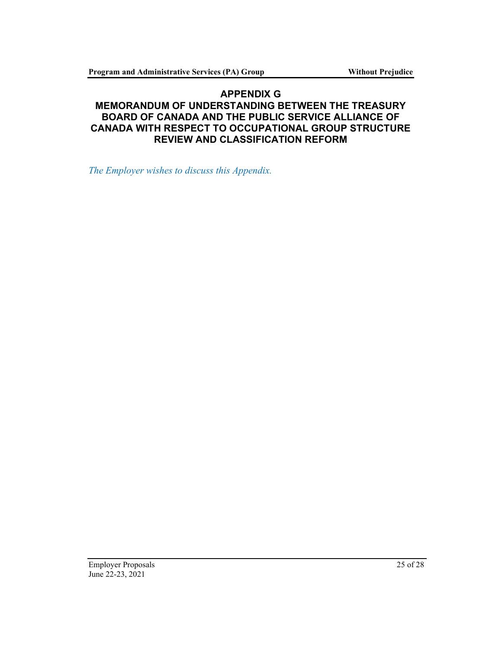# APPENDIX G MEMORANDUM OF UNDERSTANDING BETWEEN THE TREASURY BOARD OF CANADA AND THE PUBLIC SERVICE ALLIANCE OF CANADA WITH RESPECT TO OCCUPATIONAL GROUP STRUCTURE REVIEW AND CLASSIFICATION REFORM

The Employer wishes to discuss this Appendix.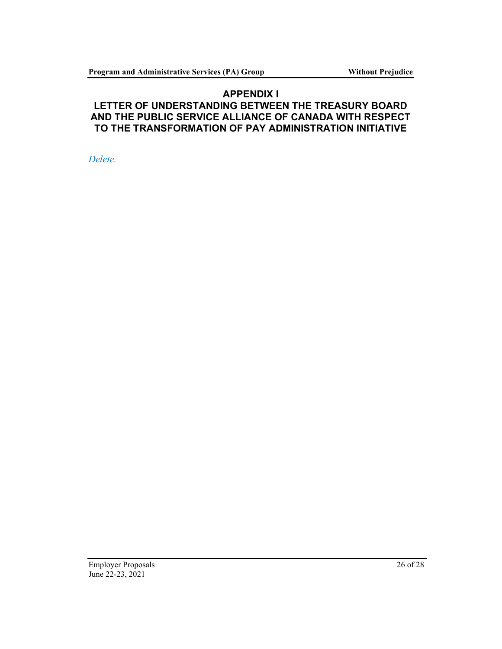### APPENDIX I LETTER OF UNDERSTANDING BETWEEN THE TREASURY BOARD AND THE PUBLIC SERVICE ALLIANCE OF CANADA WITH RESPECT TO THE TRANSFORMATION OF PAY ADMINISTRATION INITIATIVE

Delete.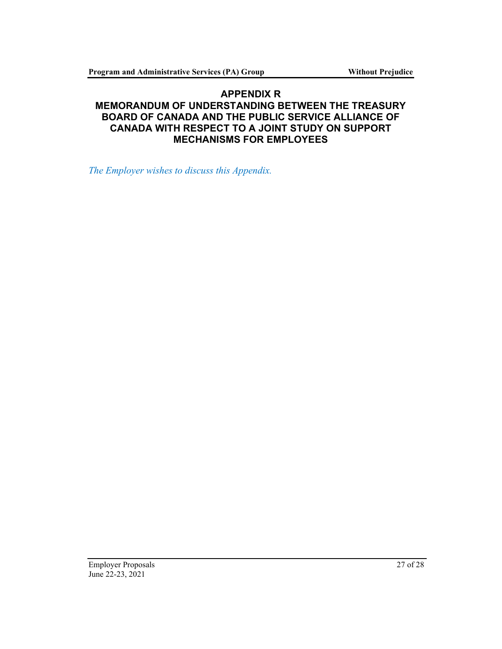# APPENDIX R MEMORANDUM OF UNDERSTANDING BETWEEN THE TREASURY BOARD OF CANADA AND THE PUBLIC SERVICE ALLIANCE OF CANADA WITH RESPECT TO A JOINT STUDY ON SUPPORT MECHANISMS FOR EMPLOYEES

The Employer wishes to discuss this Appendix.